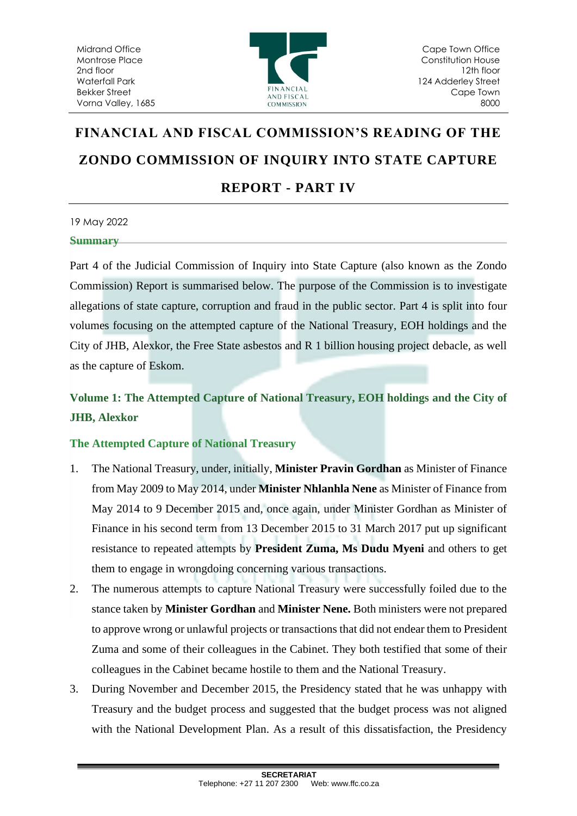

# **FINANCIAL AND FISCAL COMMISSION'S READING OF THE ZONDO COMMISSION OF INQUIRY INTO STATE CAPTURE REPORT - PART IV**

# 19 May 2022 **Summary**

Part 4 of the Judicial Commission of Inquiry into State Capture (also known as the Zondo Commission) Report is summarised below. The purpose of the Commission is to investigate allegations of state capture, corruption and fraud in the public sector. Part 4 is split into four volumes focusing on the attempted capture of the National Treasury, EOH holdings and the City of JHB, Alexkor, the Free State asbestos and R 1 billion housing project debacle, as well as the capture of Eskom.

# **Volume 1: The Attempted Capture of National Treasury, EOH holdings and the City of JHB, Alexkor**

# **The Attempted Capture of National Treasury**

- 1. The National Treasury, under, initially, **Minister Pravin Gordhan** as Minister of Finance from May 2009 to May 2014, under **Minister Nhlanhla Nene** as Minister of Finance from May 2014 to 9 December 2015 and, once again, under Minister Gordhan as Minister of Finance in his second term from 13 December 2015 to 31 March 2017 put up significant resistance to repeated attempts by **President Zuma, Ms Dudu Myeni** and others to get them to engage in wrongdoing concerning various transactions.
- 2. The numerous attempts to capture National Treasury were successfully foiled due to the stance taken by **Minister Gordhan** and **Minister Nene.** Both ministers were not prepared to approve wrong or unlawful projects or transactions that did not endear them to President Zuma and some of their colleagues in the Cabinet. They both testified that some of their colleagues in the Cabinet became hostile to them and the National Treasury.
- 3. During November and December 2015, the Presidency stated that he was unhappy with Treasury and the budget process and suggested that the budget process was not aligned with the National Development Plan. As a result of this dissatisfaction, the Presidency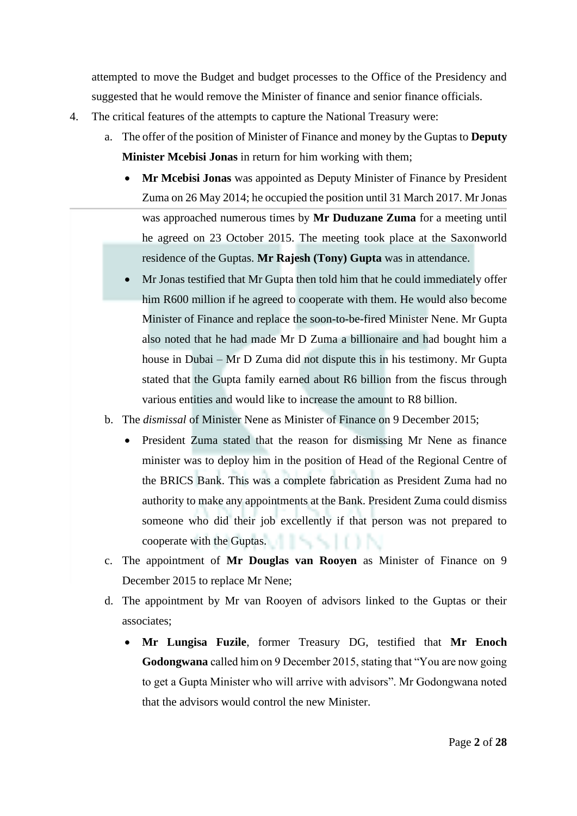attempted to move the Budget and budget processes to the Office of the Presidency and suggested that he would remove the Minister of finance and senior finance officials.

- 4. The critical features of the attempts to capture the National Treasury were:
	- a. The offer of the position of Minister of Finance and money by the Guptas to **Deputy Minister Mcebisi Jonas** in return for him working with them;
		- **Mr Mcebisi Jonas** was appointed as Deputy Minister of Finance by President Zuma on 26 May 2014; he occupied the position until 31 March 2017. Mr Jonas was approached numerous times by **Mr Duduzane Zuma** for a meeting until he agreed on 23 October 2015. The meeting took place at the Saxonworld residence of the Guptas. **Mr Rajesh (Tony) Gupta** was in attendance.
		- Mr Jonas testified that Mr Gupta then told him that he could immediately offer him R600 million if he agreed to cooperate with them. He would also become Minister of Finance and replace the soon-to-be-fired Minister Nene. Mr Gupta also noted that he had made Mr D Zuma a billionaire and had bought him a house in Dubai – Mr D Zuma did not dispute this in his testimony. Mr Gupta stated that the Gupta family earned about R6 billion from the fiscus through various entities and would like to increase the amount to R8 billion.
	- b. The *dismissal* of Minister Nene as Minister of Finance on 9 December 2015;
		- President Zuma stated that the reason for dismissing Mr Nene as finance minister was to deploy him in the position of Head of the Regional Centre of the BRICS Bank. This was a complete fabrication as President Zuma had no authority to make any appointments at the Bank. President Zuma could dismiss someone who did their job excellently if that person was not prepared to cooperate with the Guptas.
	- c. The appointment of **Mr Douglas van Rooyen** as Minister of Finance on 9 December 2015 to replace Mr Nene;
	- d. The appointment by Mr van Rooyen of advisors linked to the Guptas or their associates;
		- **Mr Lungisa Fuzile**, former Treasury DG, testified that **Mr Enoch Godongwana** called him on 9 December 2015, stating that "You are now going to get a Gupta Minister who will arrive with advisors". Mr Godongwana noted that the advisors would control the new Minister.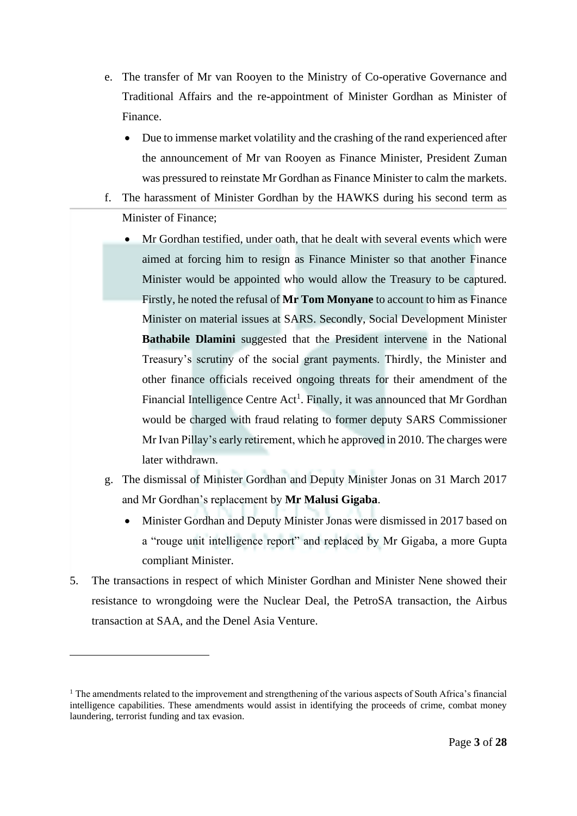- e. The transfer of Mr van Rooyen to the Ministry of Co-operative Governance and Traditional Affairs and the re-appointment of Minister Gordhan as Minister of Finance.
	- Due to immense market volatility and the crashing of the rand experienced after the announcement of Mr van Rooyen as Finance Minister, President Zuman was pressured to reinstate Mr Gordhan as Finance Minister to calm the markets.
- f. The harassment of Minister Gordhan by the HAWKS during his second term as Minister of Finance;
	- Mr Gordhan testified, under oath, that he dealt with several events which were aimed at forcing him to resign as Finance Minister so that another Finance Minister would be appointed who would allow the Treasury to be captured. Firstly, he noted the refusal of **Mr Tom Monyane** to account to him as Finance Minister on material issues at SARS. Secondly, Social Development Minister **Bathabile Dlamini** suggested that the President intervene in the National Treasury's scrutiny of the social grant payments. Thirdly, the Minister and other finance officials received ongoing threats for their amendment of the Financial Intelligence Centre Act<sup>1</sup>. Finally, it was announced that Mr Gordhan would be charged with fraud relating to former deputy SARS Commissioner Mr Ivan Pillay's early retirement, which he approved in 2010. The charges were later withdrawn.
- g. The dismissal of Minister Gordhan and Deputy Minister Jonas on 31 March 2017 and Mr Gordhan's replacement by **Mr Malusi Gigaba**.
	- Minister Gordhan and Deputy Minister Jonas were dismissed in 2017 based on a "rouge unit intelligence report" and replaced by Mr Gigaba, a more Gupta compliant Minister.
- 5. The transactions in respect of which Minister Gordhan and Minister Nene showed their resistance to wrongdoing were the Nuclear Deal, the PetroSA transaction, the Airbus transaction at SAA, and the Denel Asia Venture.

<sup>&</sup>lt;sup>1</sup> The amendments related to the improvement and strengthening of the various aspects of South Africa's financial intelligence capabilities. These amendments would assist in identifying the proceeds of crime, combat money laundering, terrorist funding and tax evasion.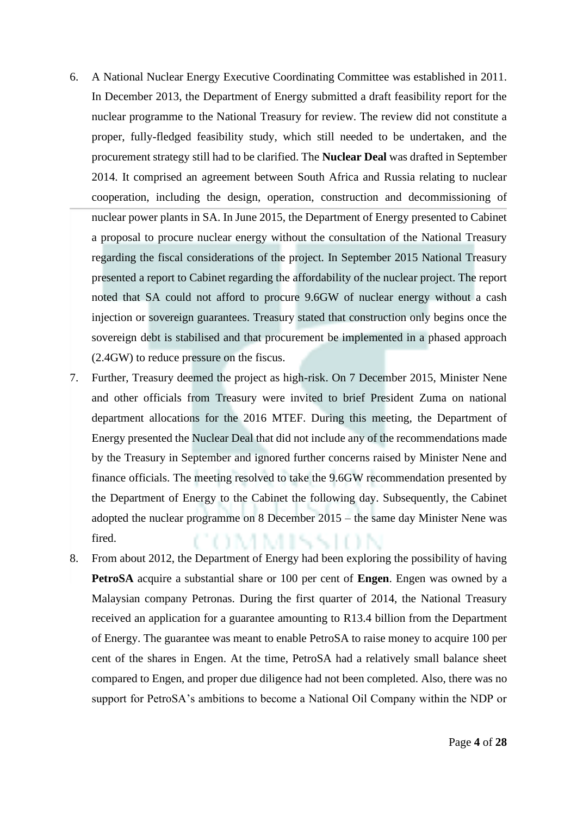- 6. A National Nuclear Energy Executive Coordinating Committee was established in 2011. In December 2013, the Department of Energy submitted a draft feasibility report for the nuclear programme to the National Treasury for review. The review did not constitute a proper, fully-fledged feasibility study, which still needed to be undertaken, and the procurement strategy still had to be clarified. The **Nuclear Deal** was drafted in September 2014. It comprised an agreement between South Africa and Russia relating to nuclear cooperation, including the design, operation, construction and decommissioning of nuclear power plants in SA. In June 2015, the Department of Energy presented to Cabinet a proposal to procure nuclear energy without the consultation of the National Treasury regarding the fiscal considerations of the project. In September 2015 National Treasury presented a report to Cabinet regarding the affordability of the nuclear project. The report noted that SA could not afford to procure 9.6GW of nuclear energy without a cash injection or sovereign guarantees. Treasury stated that construction only begins once the sovereign debt is stabilised and that procurement be implemented in a phased approach (2.4GW) to reduce pressure on the fiscus.
- 7. Further, Treasury deemed the project as high-risk. On 7 December 2015, Minister Nene and other officials from Treasury were invited to brief President Zuma on national department allocations for the 2016 MTEF. During this meeting, the Department of Energy presented the Nuclear Deal that did not include any of the recommendations made by the Treasury in September and ignored further concerns raised by Minister Nene and finance officials. The meeting resolved to take the 9.6GW recommendation presented by the Department of Energy to the Cabinet the following day. Subsequently, the Cabinet adopted the nuclear programme on 8 December 2015 – the same day Minister Nene was fired. A MISSION
- 8. From about 2012, the Department of Energy had been exploring the possibility of having **PetroSA** acquire a substantial share or 100 per cent of **Engen**. Engen was owned by a Malaysian company Petronas. During the first quarter of 2014, the National Treasury received an application for a guarantee amounting to R13.4 billion from the Department of Energy. The guarantee was meant to enable PetroSA to raise money to acquire 100 per cent of the shares in Engen. At the time, PetroSA had a relatively small balance sheet compared to Engen, and proper due diligence had not been completed. Also, there was no support for PetroSA's ambitions to become a National Oil Company within the NDP or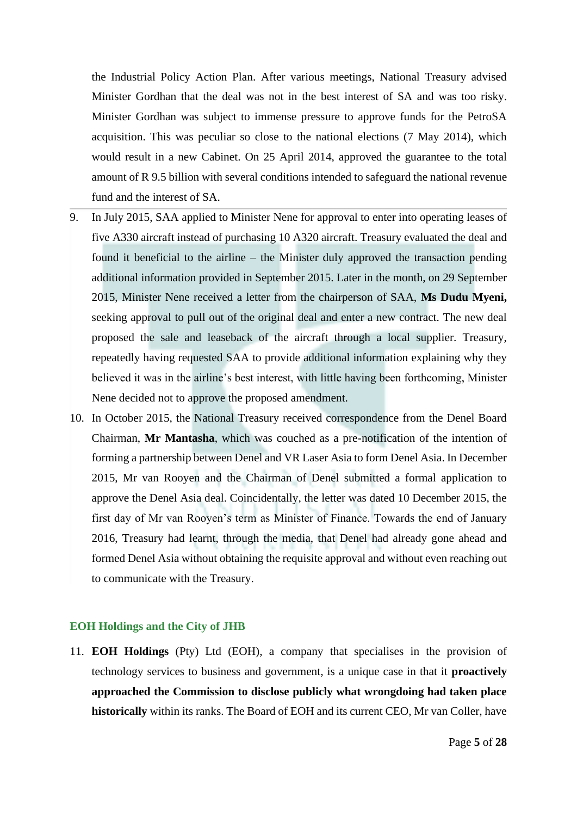the Industrial Policy Action Plan. After various meetings, National Treasury advised Minister Gordhan that the deal was not in the best interest of SA and was too risky. Minister Gordhan was subject to immense pressure to approve funds for the PetroSA acquisition. This was peculiar so close to the national elections (7 May 2014), which would result in a new Cabinet. On 25 April 2014, approved the guarantee to the total amount of R 9.5 billion with several conditions intended to safeguard the national revenue fund and the interest of SA.

- 9. In July 2015, SAA applied to Minister Nene for approval to enter into operating leases of five A330 aircraft instead of purchasing 10 A320 aircraft. Treasury evaluated the deal and found it beneficial to the airline – the Minister duly approved the transaction pending additional information provided in September 2015. Later in the month, on 29 September 2015, Minister Nene received a letter from the chairperson of SAA, **Ms Dudu Myeni,** seeking approval to pull out of the original deal and enter a new contract. The new deal proposed the sale and leaseback of the aircraft through a local supplier. Treasury, repeatedly having requested SAA to provide additional information explaining why they believed it was in the airline's best interest, with little having been forthcoming, Minister Nene decided not to approve the proposed amendment.
- 10. In October 2015, the National Treasury received correspondence from the Denel Board Chairman, **Mr Mantasha**, which was couched as a pre-notification of the intention of forming a partnership between Denel and VR Laser Asia to form Denel Asia. In December 2015, Mr van Rooyen and the Chairman of Denel submitted a formal application to approve the Denel Asia deal. Coincidentally, the letter was dated 10 December 2015, the first day of Mr van Rooyen's term as Minister of Finance. Towards the end of January 2016, Treasury had learnt, through the media, that Denel had already gone ahead and formed Denel Asia without obtaining the requisite approval and without even reaching out to communicate with the Treasury.

## **EOH Holdings and the City of JHB**

11. **EOH Holdings** (Pty) Ltd (EOH), a company that specialises in the provision of technology services to business and government, is a unique case in that it **proactively approached the Commission to disclose publicly what wrongdoing had taken place historically** within its ranks. The Board of EOH and its current CEO, Mr van Coller, have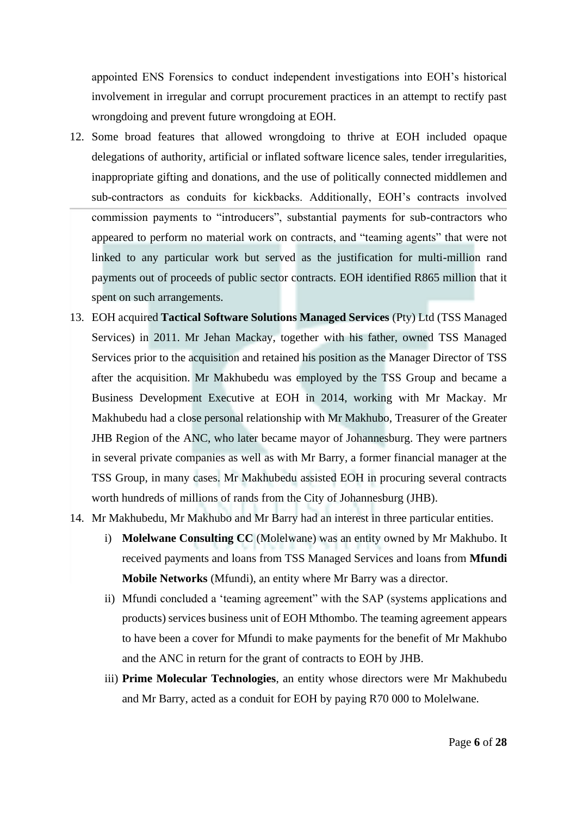appointed ENS Forensics to conduct independent investigations into EOH's historical involvement in irregular and corrupt procurement practices in an attempt to rectify past wrongdoing and prevent future wrongdoing at EOH.

- 12. Some broad features that allowed wrongdoing to thrive at EOH included opaque delegations of authority, artificial or inflated software licence sales, tender irregularities, inappropriate gifting and donations, and the use of politically connected middlemen and sub-contractors as conduits for kickbacks. Additionally, EOH's contracts involved commission payments to "introducers", substantial payments for sub-contractors who appeared to perform no material work on contracts, and "teaming agents" that were not linked to any particular work but served as the justification for multi-million rand payments out of proceeds of public sector contracts. EOH identified R865 million that it spent on such arrangements.
- 13. EOH acquired **Tactical Software Solutions Managed Services** (Pty) Ltd (TSS Managed Services) in 2011. Mr Jehan Mackay, together with his father, owned TSS Managed Services prior to the acquisition and retained his position as the Manager Director of TSS after the acquisition. Mr Makhubedu was employed by the TSS Group and became a Business Development Executive at EOH in 2014, working with Mr Mackay. Mr Makhubedu had a close personal relationship with Mr Makhubo, Treasurer of the Greater JHB Region of the ANC, who later became mayor of Johannesburg. They were partners in several private companies as well as with Mr Barry, a former financial manager at the TSS Group, in many cases. Mr Makhubedu assisted EOH in procuring several contracts worth hundreds of millions of rands from the City of Johannesburg (JHB).
- 14. Mr Makhubedu, Mr Makhubo and Mr Barry had an interest in three particular entities.
	- i) **Molelwane Consulting CC** (Molelwane) was an entity owned by Mr Makhubo. It received payments and loans from TSS Managed Services and loans from **Mfundi Mobile Networks** (Mfundi), an entity where Mr Barry was a director.
	- ii) Mfundi concluded a 'teaming agreement" with the SAP (systems applications and products) services business unit of EOH Mthombo. The teaming agreement appears to have been a cover for Mfundi to make payments for the benefit of Mr Makhubo and the ANC in return for the grant of contracts to EOH by JHB.
	- iii) **Prime Molecular Technologies**, an entity whose directors were Mr Makhubedu and Mr Barry, acted as a conduit for EOH by paying R70 000 to Molelwane.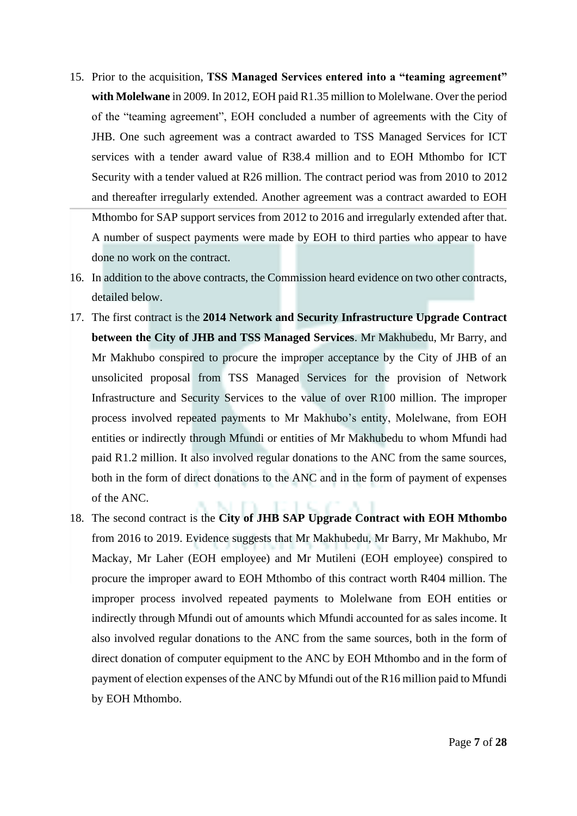- 15. Prior to the acquisition, **TSS Managed Services entered into a "teaming agreement" with Molelwane** in 2009. In 2012, EOH paid R1.35 million to Molelwane. Over the period of the "teaming agreement", EOH concluded a number of agreements with the City of JHB. One such agreement was a contract awarded to TSS Managed Services for ICT services with a tender award value of R38.4 million and to EOH Mthombo for ICT Security with a tender valued at R26 million. The contract period was from 2010 to 2012 and thereafter irregularly extended. Another agreement was a contract awarded to EOH Mthombo for SAP support services from 2012 to 2016 and irregularly extended after that. A number of suspect payments were made by EOH to third parties who appear to have done no work on the contract.
- 16. In addition to the above contracts, the Commission heard evidence on two other contracts, detailed below.
- 17. The first contract is the **2014 Network and Security Infrastructure Upgrade Contract between the City of JHB and TSS Managed Services**. Mr Makhubedu, Mr Barry, and Mr Makhubo conspired to procure the improper acceptance by the City of JHB of an unsolicited proposal from TSS Managed Services for the provision of Network Infrastructure and Security Services to the value of over R100 million. The improper process involved repeated payments to Mr Makhubo's entity, Molelwane, from EOH entities or indirectly through Mfundi or entities of Mr Makhubedu to whom Mfundi had paid R1.2 million. It also involved regular donations to the ANC from the same sources, both in the form of direct donations to the ANC and in the form of payment of expenses of the ANC.
- 18. The second contract is the **City of JHB SAP Upgrade Contract with EOH Mthombo** from 2016 to 2019. Evidence suggests that Mr Makhubedu, Mr Barry, Mr Makhubo, Mr Mackay, Mr Laher (EOH employee) and Mr Mutileni (EOH employee) conspired to procure the improper award to EOH Mthombo of this contract worth R404 million. The improper process involved repeated payments to Molelwane from EOH entities or indirectly through Mfundi out of amounts which Mfundi accounted for as sales income. It also involved regular donations to the ANC from the same sources, both in the form of direct donation of computer equipment to the ANC by EOH Mthombo and in the form of payment of election expenses of the ANC by Mfundi out of the R16 million paid to Mfundi by EOH Mthombo.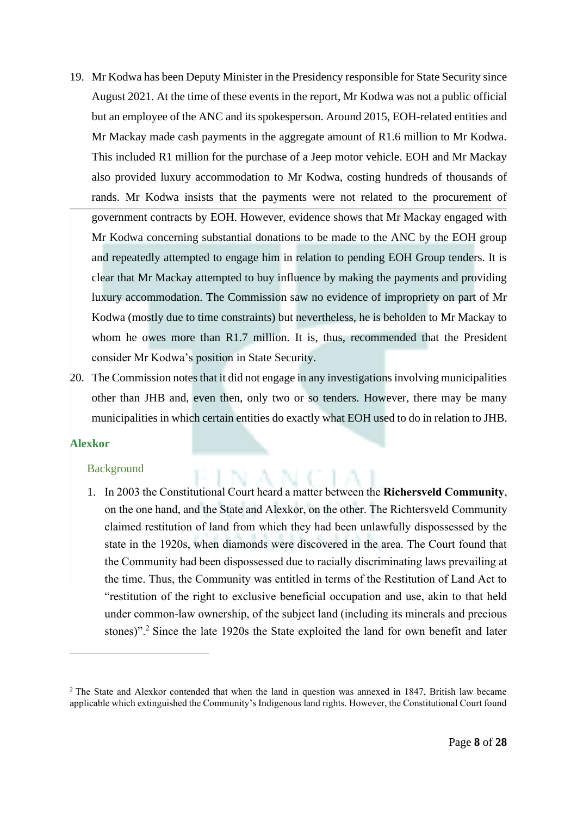- 19. Mr Kodwa has been Deputy Minister in the Presidency responsible for State Security since August 2021. At the time of these events in the report, Mr Kodwa was not a public official but an employee of the ANC and its spokesperson. Around 2015, EOH-related entities and Mr Mackay made cash payments in the aggregate amount of R1.6 million to Mr Kodwa. This included R1 million for the purchase of a Jeep motor vehicle. EOH and Mr Mackay also provided luxury accommodation to Mr Kodwa, costing hundreds of thousands of rands. Mr Kodwa insists that the payments were not related to the procurement of government contracts by EOH. However, evidence shows that Mr Mackay engaged with Mr Kodwa concerning substantial donations to be made to the ANC by the EOH group and repeatedly attempted to engage him in relation to pending EOH Group tenders. It is clear that Mr Mackay attempted to buy influence by making the payments and providing luxury accommodation. The Commission saw no evidence of impropriety on part of Mr Kodwa (mostly due to time constraints) but nevertheless, he is beholden to Mr Mackay to whom he owes more than R1.7 million. It is, thus, recommended that the President consider Mr Kodwa's position in State Security.
- 20. The Commission notes that it did not engage in any investigations involving municipalities other than JHB and, even then, only two or so tenders. However, there may be many municipalities in which certain entities do exactly what EOH used to do in relation to JHB.

#### **Alexkor**

#### Background

1. In 2003 the Constitutional Court heard a matter between the **Richersveld Community**, on the one hand, and the State and Alexkor, on the other. The Richtersveld Community claimed restitution of land from which they had been unlawfully dispossessed by the state in the 1920s, when diamonds were discovered in the area. The Court found that the Community had been dispossessed due to racially discriminating laws prevailing at the time. Thus, the Community was entitled in terms of the Restitution of Land Act to "restitution of the right to exclusive beneficial occupation and use, akin to that held under common-law ownership, of the subject land (including its minerals and precious stones)".<sup>2</sup> Since the late 1920s the State exploited the land for own benefit and later

<sup>&</sup>lt;sup>2</sup> The State and Alexkor contended that when the land in question was annexed in 1847, British law became applicable which extinguished the Community's Indigenous land rights. However, the Constitutional Court found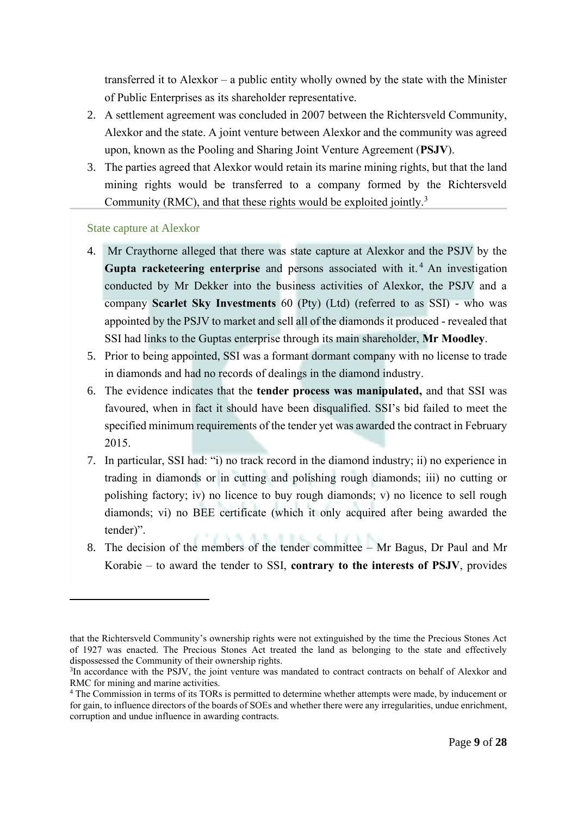transferred it to Alexkor – a public entity wholly owned by the state with the Minister of Public Enterprises as its shareholder representative.

- 2. A settlement agreement was concluded in 2007 between the Richtersveld Community, Alexkor and the state. A joint venture between Alexkor and the community was agreed upon, known as the Pooling and Sharing Joint Venture Agreement (**PSJV**).
- 3. The parties agreed that Alexkor would retain its marine mining rights, but that the land mining rights would be transferred to a company formed by the Richtersveld Community (RMC), and that these rights would be exploited jointly.<sup>3</sup>

# State capture at Alexkor

- 4. Mr Craythorne alleged that there was state capture at Alexkor and the PSJV by the Gupta racketeering enterprise and persons associated with it.<sup>4</sup> An investigation conducted by Mr Dekker into the business activities of Alexkor, the PSJV and a company **Scarlet Sky Investments** 60 (Pty) (Ltd) (referred to as SSI) - who was appointed by the PSJV to market and sell all of the diamonds it produced - revealed that SSI had links to the Guptas enterprise through its main shareholder, **Mr Moodley**.
- 5. Prior to being appointed, SSI was a formant dormant company with no license to trade in diamonds and had no records of dealings in the diamond industry.
- 6. The evidence indicates that the **tender process was manipulated,** and that SSI was favoured, when in fact it should have been disqualified. SSI's bid failed to meet the specified minimum requirements of the tender yet was awarded the contract in February 2015.
- 7. In particular, SSI had: "i) no track record in the diamond industry; ii) no experience in trading in diamonds or in cutting and polishing rough diamonds; iii) no cutting or polishing factory; iv) no licence to buy rough diamonds; v) no licence to sell rough diamonds; vi) no BEE certificate (which it only acquired after being awarded the tender)".
- 8. The decision of the members of the tender committee Mr Bagus, Dr Paul and Mr Korabie – to award the tender to SSI, **contrary to the interests of PSJV**, provides

that the Richtersveld Community's ownership rights were not extinguished by the time the Precious Stones Act of 1927 was enacted. The Precious Stones Act treated the land as belonging to the state and effectively dispossessed the Community of their ownership rights.

<sup>&</sup>lt;sup>3</sup>In accordance with the PSJV, the joint venture was mandated to contract contracts on behalf of Alexkor and RMC for mining and marine activities.

<sup>&</sup>lt;sup>4</sup> The Commission in terms of its TORs is permitted to determine whether attempts were made, by inducement or for gain, to influence directors of the boards of SOEs and whether there were any irregularities, undue enrichment, corruption and undue influence in awarding contracts.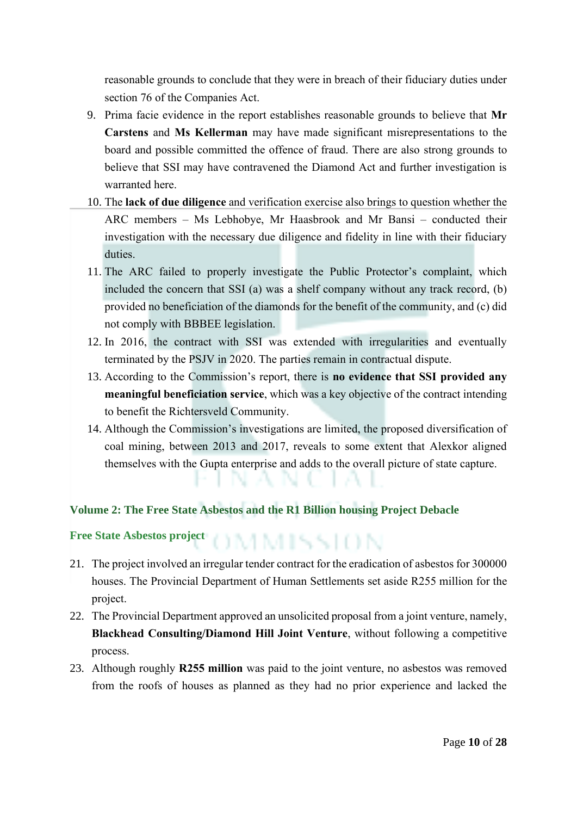reasonable grounds to conclude that they were in breach of their fiduciary duties under section 76 of the Companies Act.

- 9. Prima facie evidence in the report establishes reasonable grounds to believe that **Mr Carstens** and **Ms Kellerman** may have made significant misrepresentations to the board and possible committed the offence of fraud. There are also strong grounds to believe that SSI may have contravened the Diamond Act and further investigation is warranted here.
- 10. The **lack of due diligence** and verification exercise also brings to question whether the ARC members – Ms Lebhobye, Mr Haasbrook and Mr Bansi – conducted their investigation with the necessary due diligence and fidelity in line with their fiduciary duties.
- 11. The ARC failed to properly investigate the Public Protector's complaint, which included the concern that SSI (a) was a shelf company without any track record, (b) provided no beneficiation of the diamonds for the benefit of the community, and (c) did not comply with BBBEE legislation.
- 12. In 2016, the contract with SSI was extended with irregularities and eventually terminated by the PSJV in 2020. The parties remain in contractual dispute.
- 13. According to the Commission's report, there is **no evidence that SSI provided any meaningful beneficiation service**, which was a key objective of the contract intending to benefit the Richtersveld Community.
- 14. Although the Commission's investigations are limited, the proposed diversification of coal mining, between 2013 and 2017, reveals to some extent that Alexkor aligned themselves with the Gupta enterprise and adds to the overall picture of state capture.

# **Volume 2: The Free State Asbestos and the R1 Billion housing Project Debacle**

**Free State Asbestos project**<br>  $\begin{bmatrix} 1 & 1 & 1 \\ 1 & 1 & 1 \end{bmatrix}$ 

- 21. The project involved an irregular tender contract for the eradication of asbestos for 300000 houses. The Provincial Department of Human Settlements set aside R255 million for the project.
- 22. The Provincial Department approved an unsolicited proposal from a joint venture, namely, **Blackhead Consulting/Diamond Hill Joint Venture**, without following a competitive process.
- 23. Although roughly **R255 million** was paid to the joint venture, no asbestos was removed from the roofs of houses as planned as they had no prior experience and lacked the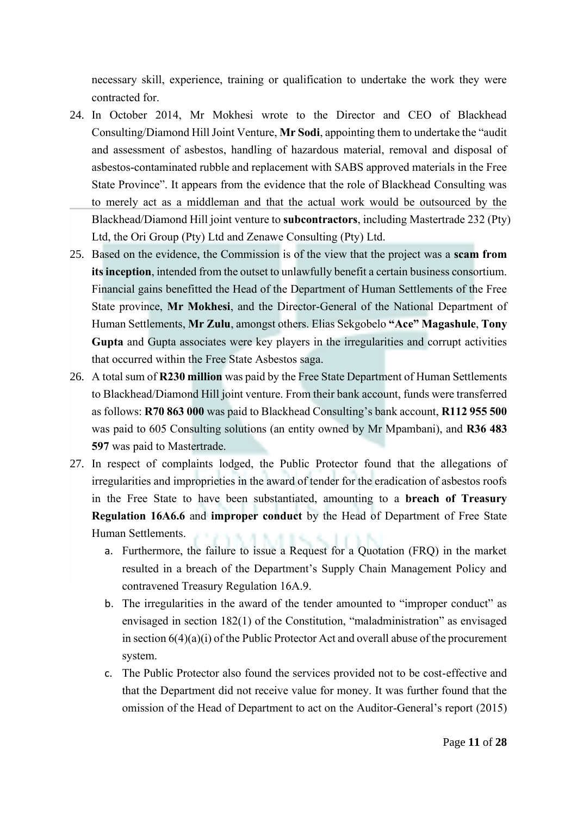necessary skill, experience, training or qualification to undertake the work they were contracted for.

- 24. In October 2014, Mr Mokhesi wrote to the Director and CEO of Blackhead Consulting/Diamond Hill Joint Venture, **Mr Sodi**, appointing them to undertake the "audit and assessment of asbestos, handling of hazardous material, removal and disposal of asbestos-contaminated rubble and replacement with SABS approved materials in the Free State Province". It appears from the evidence that the role of Blackhead Consulting was to merely act as a middleman and that the actual work would be outsourced by the Blackhead/Diamond Hill joint venture to **subcontractors**, including Mastertrade 232 (Pty) Ltd, the Ori Group (Pty) Ltd and Zenawe Consulting (Pty) Ltd.
- 25. Based on the evidence, the Commission is of the view that the project was a **scam from its inception**, intended from the outset to unlawfully benefit a certain business consortium. Financial gains benefitted the Head of the Department of Human Settlements of the Free State province, **Mr Mokhesi**, and the Director-General of the National Department of Human Settlements, **Mr Zulu**, amongst others. Elias Sekgobelo **"Ace" Magashule**, **Tony Gupta** and Gupta associates were key players in the irregularities and corrupt activities that occurred within the Free State Asbestos saga.
- 26. A total sum of **R230 million** was paid by the Free State Department of Human Settlements to Blackhead/Diamond Hill joint venture. From their bank account, funds were transferred as follows: **R70 863 000** was paid to Blackhead Consulting's bank account, **R112 955 500** was paid to 605 Consulting solutions (an entity owned by Mr Mpambani), and **R36 483 597** was paid to Mastertrade.
- 27. In respect of complaints lodged, the Public Protector found that the allegations of irregularities and improprieties in the award of tender for the eradication of asbestos roofs in the Free State to have been substantiated, amounting to a **breach of Treasury Regulation 16A6.6** and **improper conduct** by the Head of Department of Free State Human Settlements.
	- a. Furthermore, the failure to issue a Request for a Quotation (FRQ) in the market resulted in a breach of the Department's Supply Chain Management Policy and contravened Treasury Regulation 16A.9.
	- b. The irregularities in the award of the tender amounted to "improper conduct" as envisaged in section 182(1) of the Constitution, "maladministration" as envisaged in section 6(4)(a)(i) of the Public Protector Act and overall abuse of the procurement system.
	- c. The Public Protector also found the services provided not to be cost-effective and that the Department did not receive value for money. It was further found that the omission of the Head of Department to act on the Auditor-General's report (2015)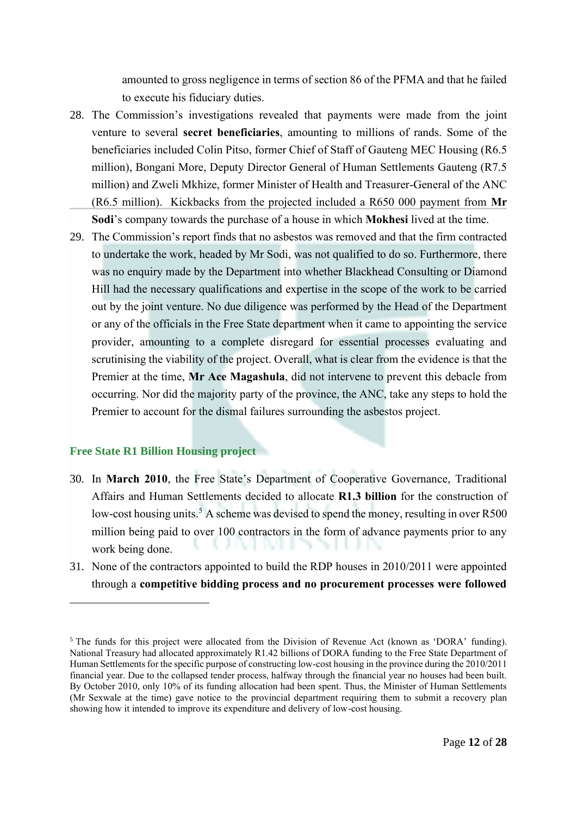amounted to gross negligence in terms of section 86 of the PFMA and that he failed to execute his fiduciary duties.

- 28. The Commission's investigations revealed that payments were made from the joint venture to several **secret beneficiaries**, amounting to millions of rands. Some of the beneficiaries included Colin Pitso, former Chief of Staff of Gauteng MEC Housing (R6.5 million), Bongani More, Deputy Director General of Human Settlements Gauteng (R7.5 million) and Zweli Mkhize, former Minister of Health and Treasurer-General of the ANC (R6.5 million). Kickbacks from the projected included a R650 000 payment from **Mr Sodi**'s company towards the purchase of a house in which **Mokhesi** lived at the time.
- 29. The Commission's report finds that no asbestos was removed and that the firm contracted to undertake the work, headed by Mr Sodi, was not qualified to do so. Furthermore, there was no enquiry made by the Department into whether Blackhead Consulting or Diamond Hill had the necessary qualifications and expertise in the scope of the work to be carried out by the joint venture. No due diligence was performed by the Head of the Department or any of the officials in the Free State department when it came to appointing the service provider, amounting to a complete disregard for essential processes evaluating and scrutinising the viability of the project. Overall, what is clear from the evidence is that the Premier at the time, **Mr Ace Magashula**, did not intervene to prevent this debacle from occurring. Nor did the majority party of the province, the ANC, take any steps to hold the Premier to account for the dismal failures surrounding the asbestos project.

# **Free State R1 Billion Housing project**

- 30. In **March 2010**, the Free State's Department of Cooperative Governance, Traditional Affairs and Human Settlements decided to allocate **R1.3 billion** for the construction of low-cost housing units.<sup>5</sup> A scheme was devised to spend the money, resulting in over R500 million being paid to over 100 contractors in the form of advance payments prior to any work being done.
- 31. None of the contractors appointed to build the RDP houses in 2010/2011 were appointed through a **competitive bidding process and no procurement processes were followed**

<sup>&</sup>lt;sup>5</sup> The funds for this project were allocated from the Division of Revenue Act (known as 'DORA' funding). National Treasury had allocated approximately R1.42 billions of DORA funding to the Free State Department of Human Settlements for the specific purpose of constructing low-cost housing in the province during the 2010/2011 financial year. Due to the collapsed tender process, halfway through the financial year no houses had been built. By October 2010, only 10% of its funding allocation had been spent. Thus, the Minister of Human Settlements (Mr Sexwale at the time) gave notice to the provincial department requiring them to submit a recovery plan showing how it intended to improve its expenditure and delivery of low-cost housing.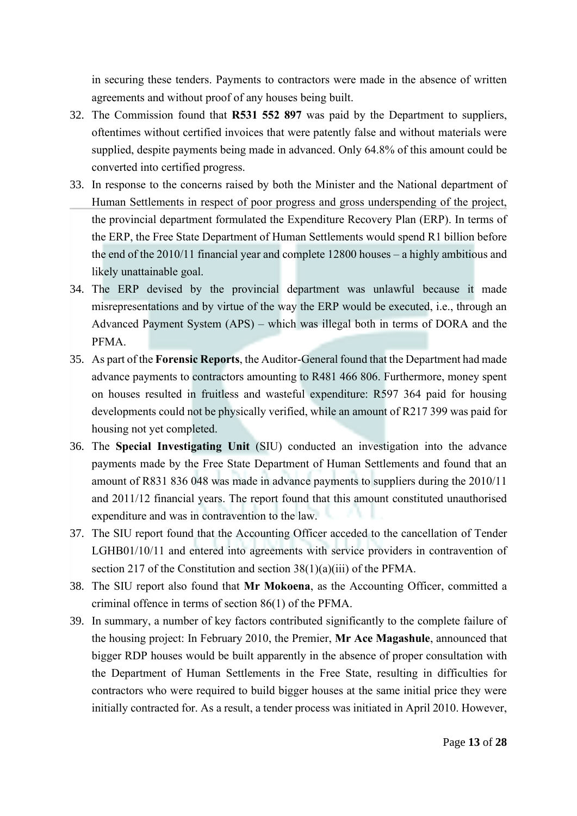in securing these tenders. Payments to contractors were made in the absence of written agreements and without proof of any houses being built.

- 32. The Commission found that **R531 552 897** was paid by the Department to suppliers, oftentimes without certified invoices that were patently false and without materials were supplied, despite payments being made in advanced. Only 64.8% of this amount could be converted into certified progress.
- 33. In response to the concerns raised by both the Minister and the National department of Human Settlements in respect of poor progress and gross underspending of the project, the provincial department formulated the Expenditure Recovery Plan (ERP). In terms of the ERP, the Free State Department of Human Settlements would spend R1 billion before the end of the 2010/11 financial year and complete 12800 houses – a highly ambitious and likely unattainable goal.
- 34. The ERP devised by the provincial department was unlawful because it made misrepresentations and by virtue of the way the ERP would be executed, i.e., through an Advanced Payment System (APS) – which was illegal both in terms of DORA and the PFMA.
- 35. As part of the **Forensic Reports**, the Auditor-General found that the Department had made advance payments to contractors amounting to R481 466 806. Furthermore, money spent on houses resulted in fruitless and wasteful expenditure: R597 364 paid for housing developments could not be physically verified, while an amount of R217 399 was paid for housing not yet completed.
- 36. The **Special Investigating Unit** (SIU) conducted an investigation into the advance payments made by the Free State Department of Human Settlements and found that an amount of R831 836 048 was made in advance payments to suppliers during the 2010/11 and 2011/12 financial years. The report found that this amount constituted unauthorised expenditure and was in contravention to the law.
- 37. The SIU report found that the Accounting Officer acceded to the cancellation of Tender LGHB01/10/11 and entered into agreements with service providers in contravention of section 217 of the Constitution and section 38(1)(a)(iii) of the PFMA.
- 38. The SIU report also found that **Mr Mokoena**, as the Accounting Officer, committed a criminal offence in terms of section 86(1) of the PFMA.
- 39. In summary, a number of key factors contributed significantly to the complete failure of the housing project: In February 2010, the Premier, **Mr Ace Magashule**, announced that bigger RDP houses would be built apparently in the absence of proper consultation with the Department of Human Settlements in the Free State, resulting in difficulties for contractors who were required to build bigger houses at the same initial price they were initially contracted for. As a result, a tender process was initiated in April 2010. However,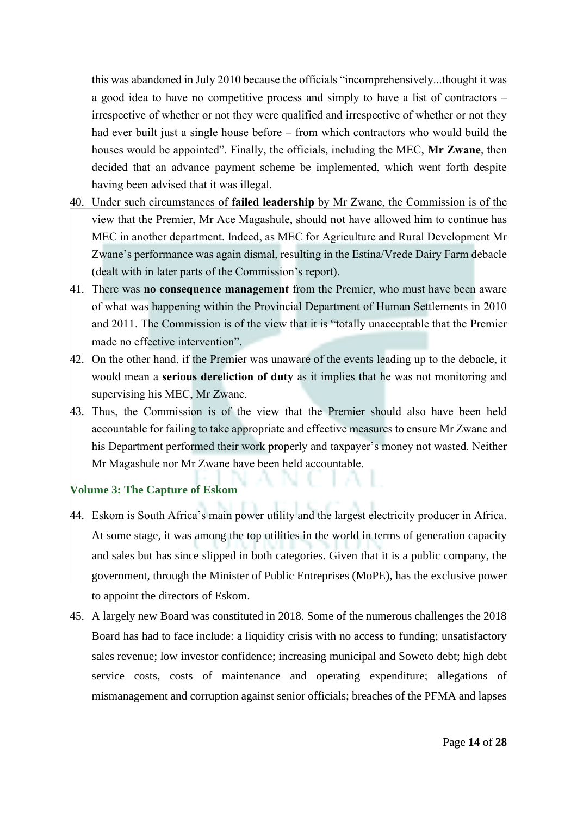this was abandoned in July 2010 because the officials "incomprehensively...thought it was a good idea to have no competitive process and simply to have a list of contractors – irrespective of whether or not they were qualified and irrespective of whether or not they had ever built just a single house before – from which contractors who would build the houses would be appointed". Finally, the officials, including the MEC, **Mr Zwane**, then decided that an advance payment scheme be implemented, which went forth despite having been advised that it was illegal.

- 40. Under such circumstances of **failed leadership** by Mr Zwane, the Commission is of the view that the Premier, Mr Ace Magashule, should not have allowed him to continue has MEC in another department. Indeed, as MEC for Agriculture and Rural Development Mr Zwane's performance was again dismal, resulting in the Estina/Vrede Dairy Farm debacle (dealt with in later parts of the Commission's report).
- 41. There was **no consequence management** from the Premier, who must have been aware of what was happening within the Provincial Department of Human Settlements in 2010 and 2011. The Commission is of the view that it is "totally unacceptable that the Premier made no effective intervention".
- 42. On the other hand, if the Premier was unaware of the events leading up to the debacle, it would mean a **serious dereliction of duty** as it implies that he was not monitoring and supervising his MEC, Mr Zwane.
- 43. Thus, the Commission is of the view that the Premier should also have been held accountable for failing to take appropriate and effective measures to ensure Mr Zwane and his Department performed their work properly and taxpayer's money not wasted. Neither Mr Magashule nor Mr Zwane have been held accountable.

# **Volume 3: The Capture of Eskom**

- 44. Eskom is South Africa's main power utility and the largest electricity producer in Africa. At some stage, it was among the top utilities in the world in terms of generation capacity and sales but has since slipped in both categories. Given that it is a public company, the government, through the Minister of Public Entreprises (MoPE), has the exclusive power to appoint the directors of Eskom.
- 45. A largely new Board was constituted in 2018. Some of the numerous challenges the 2018 Board has had to face include: a liquidity crisis with no access to funding; unsatisfactory sales revenue; low investor confidence; increasing municipal and Soweto debt; high debt service costs, costs of maintenance and operating expenditure; allegations of mismanagement and corruption against senior officials; breaches of the PFMA and lapses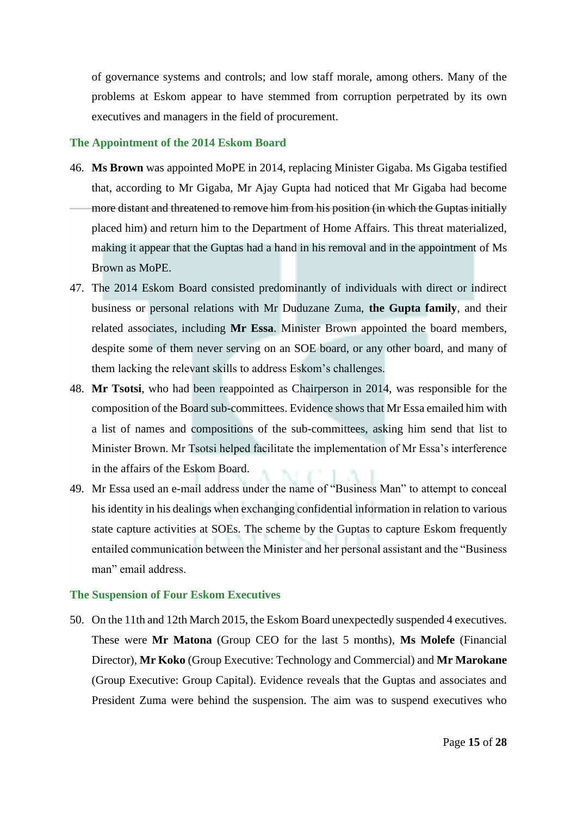of governance systems and controls; and low staff morale, among others. Many of the problems at Eskom appear to have stemmed from corruption perpetrated by its own executives and managers in the field of procurement.

## **The Appointment of the 2014 Eskom Board**

- 46. **Ms Brown** was appointed MoPE in 2014, replacing Minister Gigaba. Ms Gigaba testified that, according to Mr Gigaba, Mr Ajay Gupta had noticed that Mr Gigaba had become more distant and threatened to remove him from his position (in which the Guptas initially placed him) and return him to the Department of Home Affairs. This threat materialized, making it appear that the Guptas had a hand in his removal and in the appointment of Ms Brown as MoPE.
- 47. The 2014 Eskom Board consisted predominantly of individuals with direct or indirect business or personal relations with Mr Duduzane Zuma, **the Gupta family**, and their related associates, including **Mr Essa**. Minister Brown appointed the board members, despite some of them never serving on an SOE board, or any other board, and many of them lacking the relevant skills to address Eskom's challenges.
- 48. **Mr Tsotsi**, who had been reappointed as Chairperson in 2014, was responsible for the composition of the Board sub-committees. Evidence shows that Mr Essa emailed him with a list of names and compositions of the sub-committees, asking him send that list to Minister Brown. Mr Tsotsi helped facilitate the implementation of Mr Essa's interference in the affairs of the Eskom Board.
- 49. Mr Essa used an e-mail address under the name of "Business Man" to attempt to conceal his identity in his dealings when exchanging confidential information in relation to various state capture activities at SOEs. The scheme by the Guptas to capture Eskom frequently entailed communication between the Minister and her personal assistant and the "Business man" email address.

#### **The Suspension of Four Eskom Executives**

50. On the 11th and 12th March 2015, the Eskom Board unexpectedly suspended 4 executives. These were **Mr Matona** (Group CEO for the last 5 months), **Ms Molefe** (Financial Director), **Mr Koko** (Group Executive: Technology and Commercial) and **Mr Marokane** (Group Executive: Group Capital). Evidence reveals that the Guptas and associates and President Zuma were behind the suspension. The aim was to suspend executives who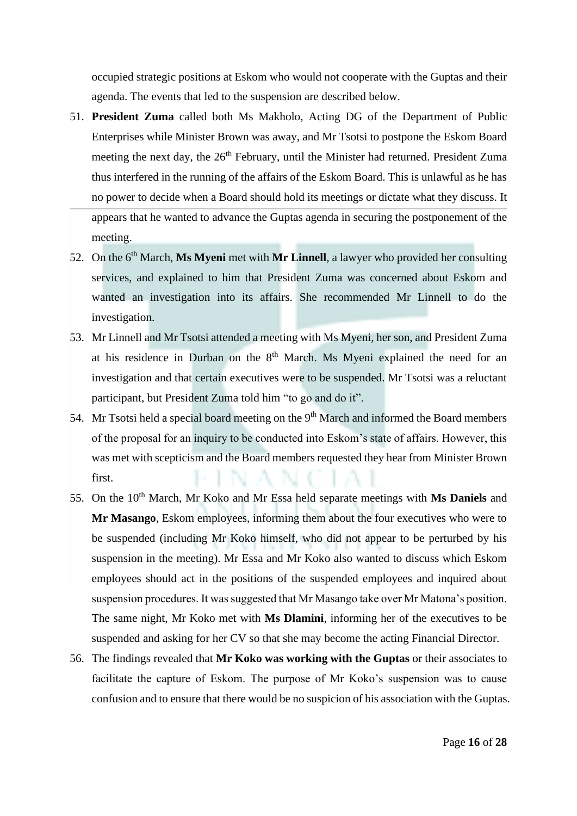occupied strategic positions at Eskom who would not cooperate with the Guptas and their agenda. The events that led to the suspension are described below.

- 51. **President Zuma** called both Ms Makholo, Acting DG of the Department of Public Enterprises while Minister Brown was away, and Mr Tsotsi to postpone the Eskom Board meeting the next day, the 26<sup>th</sup> February, until the Minister had returned. President Zuma thus interfered in the running of the affairs of the Eskom Board. This is unlawful as he has no power to decide when a Board should hold its meetings or dictate what they discuss. It appears that he wanted to advance the Guptas agenda in securing the postponement of the meeting.
- 52. On the 6<sup>th</sup> March, **Ms Myeni** met with **Mr Linnell**, a lawyer who provided her consulting services, and explained to him that President Zuma was concerned about Eskom and wanted an investigation into its affairs. She recommended Mr Linnell to do the investigation.
- 53. Mr Linnell and Mr Tsotsi attended a meeting with Ms Myeni, her son, and President Zuma at his residence in Durban on the  $8<sup>th</sup>$  March. Ms Myeni explained the need for an investigation and that certain executives were to be suspended. Mr Tsotsi was a reluctant participant, but President Zuma told him "to go and do it".
- 54. Mr Tsotsi held a special board meeting on the 9<sup>th</sup> March and informed the Board members of the proposal for an inquiry to be conducted into Eskom's state of affairs. However, this was met with scepticism and the Board members requested they hear from Minister Brown first.
- 55. On the 10<sup>th</sup> March, Mr Koko and Mr Essa held separate meetings with **Ms Daniels** and **Mr Masango**, Eskom employees, informing them about the four executives who were to be suspended (including Mr Koko himself, who did not appear to be perturbed by his suspension in the meeting). Mr Essa and Mr Koko also wanted to discuss which Eskom employees should act in the positions of the suspended employees and inquired about suspension procedures. It was suggested that Mr Masango take over Mr Matona's position. The same night, Mr Koko met with **Ms Dlamini**, informing her of the executives to be suspended and asking for her CV so that she may become the acting Financial Director.
- 56. The findings revealed that **Mr Koko was working with the Guptas** or their associates to facilitate the capture of Eskom. The purpose of Mr Koko's suspension was to cause confusion and to ensure that there would be no suspicion of his association with the Guptas.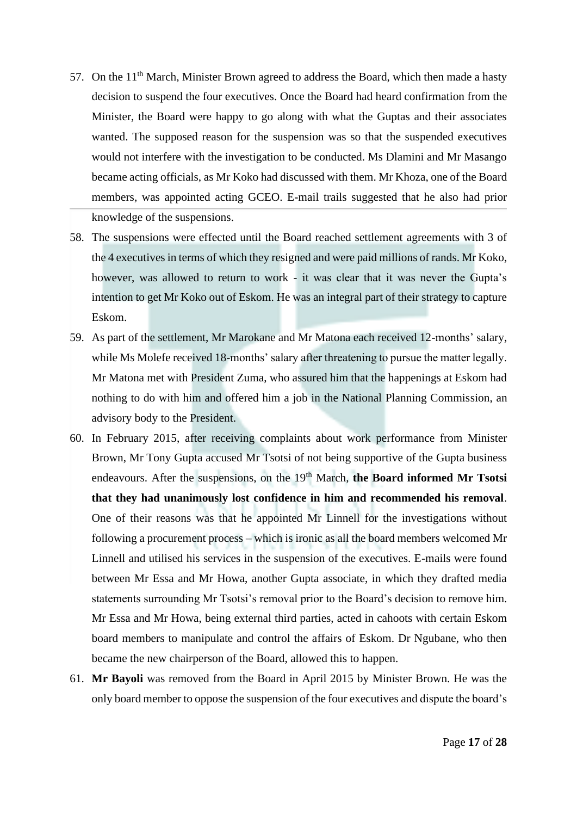- 57. On the  $11<sup>th</sup>$  March, Minister Brown agreed to address the Board, which then made a hasty decision to suspend the four executives. Once the Board had heard confirmation from the Minister, the Board were happy to go along with what the Guptas and their associates wanted. The supposed reason for the suspension was so that the suspended executives would not interfere with the investigation to be conducted. Ms Dlamini and Mr Masango became acting officials, as Mr Koko had discussed with them. Mr Khoza, one of the Board members, was appointed acting GCEO. E-mail trails suggested that he also had prior knowledge of the suspensions.
- 58. The suspensions were effected until the Board reached settlement agreements with 3 of the 4 executives in terms of which they resigned and were paid millions of rands. Mr Koko, however, was allowed to return to work - it was clear that it was never the Gupta's intention to get Mr Koko out of Eskom. He was an integral part of their strategy to capture Eskom.
- 59. As part of the settlement, Mr Marokane and Mr Matona each received 12-months' salary, while Ms Molefe received 18-months' salary after threatening to pursue the matter legally. Mr Matona met with President Zuma, who assured him that the happenings at Eskom had nothing to do with him and offered him a job in the National Planning Commission, an advisory body to the President.
- 60. In February 2015, after receiving complaints about work performance from Minister Brown, Mr Tony Gupta accused Mr Tsotsi of not being supportive of the Gupta business endeavours. After the suspensions, on the 19<sup>th</sup> March, the Board informed Mr Tsotsi **that they had unanimously lost confidence in him and recommended his removal**. One of their reasons was that he appointed Mr Linnell for the investigations without following a procurement process – which is ironic as all the board members welcomed Mr Linnell and utilised his services in the suspension of the executives. E-mails were found between Mr Essa and Mr Howa, another Gupta associate, in which they drafted media statements surrounding Mr Tsotsi's removal prior to the Board's decision to remove him. Mr Essa and Mr Howa, being external third parties, acted in cahoots with certain Eskom board members to manipulate and control the affairs of Eskom. Dr Ngubane, who then became the new chairperson of the Board, allowed this to happen.
- 61. **Mr Bayoli** was removed from the Board in April 2015 by Minister Brown. He was the only board member to oppose the suspension of the four executives and dispute the board's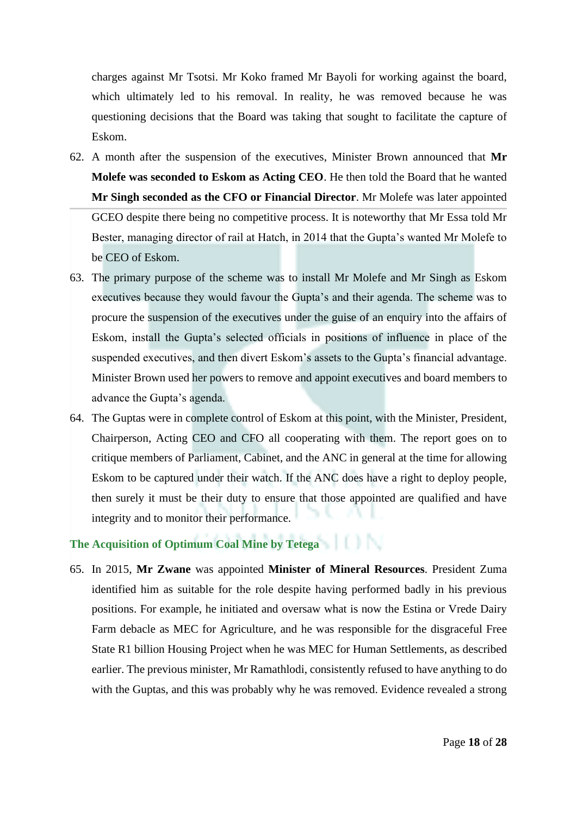charges against Mr Tsotsi. Mr Koko framed Mr Bayoli for working against the board, which ultimately led to his removal. In reality, he was removed because he was questioning decisions that the Board was taking that sought to facilitate the capture of Eskom.

- 62. A month after the suspension of the executives, Minister Brown announced that **Mr Molefe was seconded to Eskom as Acting CEO**. He then told the Board that he wanted **Mr Singh seconded as the CFO or Financial Director**. Mr Molefe was later appointed GCEO despite there being no competitive process. It is noteworthy that Mr Essa told Mr Bester, managing director of rail at Hatch, in 2014 that the Gupta's wanted Mr Molefe to be CEO of Eskom.
- 63. The primary purpose of the scheme was to install Mr Molefe and Mr Singh as Eskom executives because they would favour the Gupta's and their agenda. The scheme was to procure the suspension of the executives under the guise of an enquiry into the affairs of Eskom, install the Gupta's selected officials in positions of influence in place of the suspended executives, and then divert Eskom's assets to the Gupta's financial advantage. Minister Brown used her powers to remove and appoint executives and board members to advance the Gupta's agenda.
- 64. The Guptas were in complete control of Eskom at this point, with the Minister, President, Chairperson, Acting CEO and CFO all cooperating with them. The report goes on to critique members of Parliament, Cabinet, and the ANC in general at the time for allowing Eskom to be captured under their watch. If the ANC does have a right to deploy people, then surely it must be their duty to ensure that those appointed are qualified and have integrity and to monitor their performance.

# **The Acquisition of Optimum Coal Mine by Tetega**

65. In 2015, **Mr Zwane** was appointed **Minister of Mineral Resources**. President Zuma identified him as suitable for the role despite having performed badly in his previous positions. For example, he initiated and oversaw what is now the Estina or Vrede Dairy Farm debacle as MEC for Agriculture, and he was responsible for the disgraceful Free State R1 billion Housing Project when he was MEC for Human Settlements, as described earlier. The previous minister, Mr Ramathlodi, consistently refused to have anything to do with the Guptas, and this was probably why he was removed. Evidence revealed a strong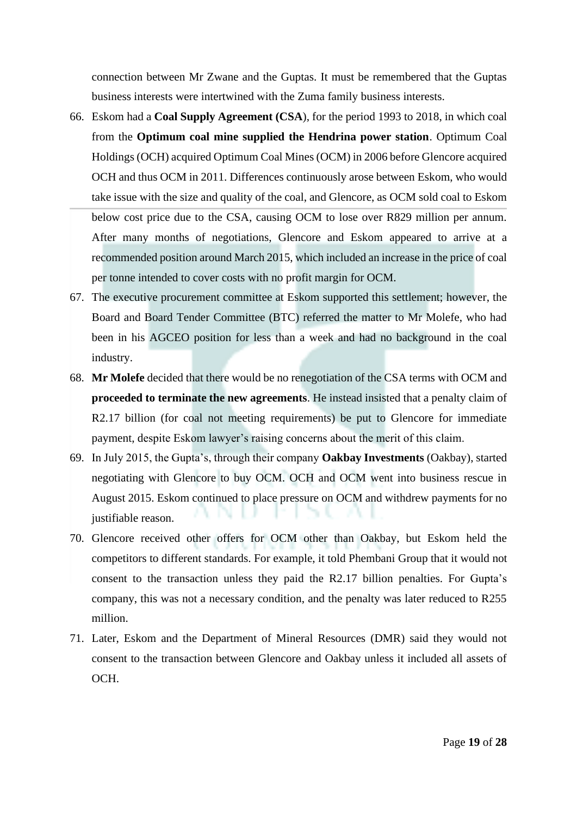connection between Mr Zwane and the Guptas. It must be remembered that the Guptas business interests were intertwined with the Zuma family business interests.

- 66. Eskom had a **Coal Supply Agreement (CSA**), for the period 1993 to 2018, in which coal from the **Optimum coal mine supplied the Hendrina power station**. Optimum Coal Holdings (OCH) acquired Optimum Coal Mines (OCM) in 2006 before Glencore acquired OCH and thus OCM in 2011. Differences continuously arose between Eskom, who would take issue with the size and quality of the coal, and Glencore, as OCM sold coal to Eskom below cost price due to the CSA, causing OCM to lose over R829 million per annum. After many months of negotiations, Glencore and Eskom appeared to arrive at a recommended position around March 2015, which included an increase in the price of coal per tonne intended to cover costs with no profit margin for OCM.
- 67. The executive procurement committee at Eskom supported this settlement; however, the Board and Board Tender Committee (BTC) referred the matter to Mr Molefe, who had been in his AGCEO position for less than a week and had no background in the coal industry.
- 68. **Mr Molefe** decided that there would be no renegotiation of the CSA terms with OCM and **proceeded to terminate the new agreements**. He instead insisted that a penalty claim of R2.17 billion (for coal not meeting requirements) be put to Glencore for immediate payment, despite Eskom lawyer's raising concerns about the merit of this claim.
- 69. In July 2015, the Gupta's, through their company **Oakbay Investments** (Oakbay), started negotiating with Glencore to buy OCM. OCH and OCM went into business rescue in August 2015. Eskom continued to place pressure on OCM and withdrew payments for no justifiable reason.
- 70. Glencore received other offers for OCM other than Oakbay, but Eskom held the competitors to different standards. For example, it told Phembani Group that it would not consent to the transaction unless they paid the R2.17 billion penalties. For Gupta's company, this was not a necessary condition, and the penalty was later reduced to R255 million.
- 71. Later, Eskom and the Department of Mineral Resources (DMR) said they would not consent to the transaction between Glencore and Oakbay unless it included all assets of OCH.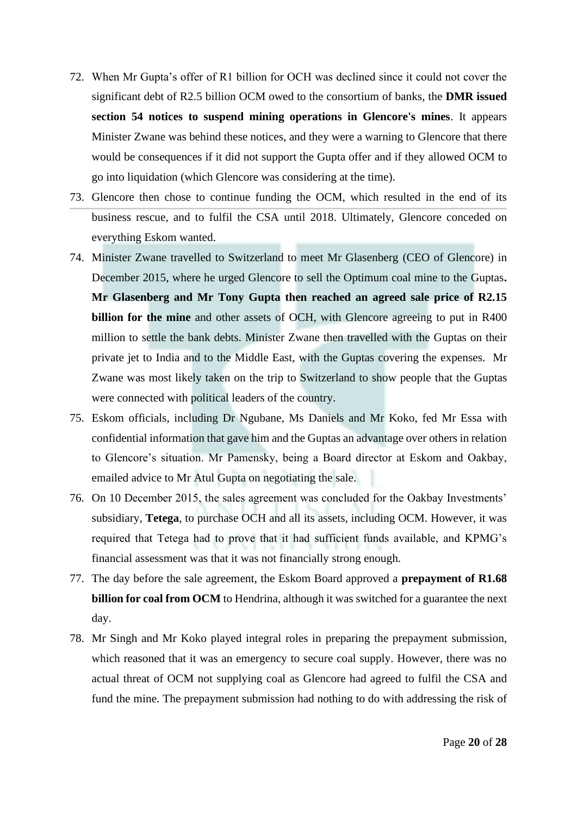- 72. When Mr Gupta's offer of R1 billion for OCH was declined since it could not cover the significant debt of R2.5 billion OCM owed to the consortium of banks, the **DMR issued section 54 notices to suspend mining operations in Glencore's mines**. It appears Minister Zwane was behind these notices, and they were a warning to Glencore that there would be consequences if it did not support the Gupta offer and if they allowed OCM to go into liquidation (which Glencore was considering at the time).
- 73. Glencore then chose to continue funding the OCM, which resulted in the end of its business rescue, and to fulfil the CSA until 2018. Ultimately, Glencore conceded on everything Eskom wanted.
- 74. Minister Zwane travelled to Switzerland to meet Mr Glasenberg (CEO of Glencore) in December 2015, where he urged Glencore to sell the Optimum coal mine to the Guptas**. Mr Glasenberg and Mr Tony Gupta then reached an agreed sale price of R2.15 billion for the mine** and other assets of OCH, with Glencore agreeing to put in R400 million to settle the bank debts. Minister Zwane then travelled with the Guptas on their private jet to India and to the Middle East, with the Guptas covering the expenses. Mr Zwane was most likely taken on the trip to Switzerland to show people that the Guptas were connected with political leaders of the country.
- 75. Eskom officials, including Dr Ngubane, Ms Daniels and Mr Koko, fed Mr Essa with confidential information that gave him and the Guptas an advantage over others in relation to Glencore's situation. Mr Pamensky, being a Board director at Eskom and Oakbay, emailed advice to Mr Atul Gupta on negotiating the sale.
- 76. On 10 December 2015, the sales agreement was concluded for the Oakbay Investments' subsidiary, **Tetega**, to purchase OCH and all its assets, including OCM. However, it was required that Tetega had to prove that it had sufficient funds available, and KPMG's financial assessment was that it was not financially strong enough.
- 77. The day before the sale agreement, the Eskom Board approved a **prepayment of R1.68 billion for coal from OCM** to Hendrina, although it was switched for a guarantee the next day.
- 78. Mr Singh and Mr Koko played integral roles in preparing the prepayment submission, which reasoned that it was an emergency to secure coal supply. However, there was no actual threat of OCM not supplying coal as Glencore had agreed to fulfil the CSA and fund the mine. The prepayment submission had nothing to do with addressing the risk of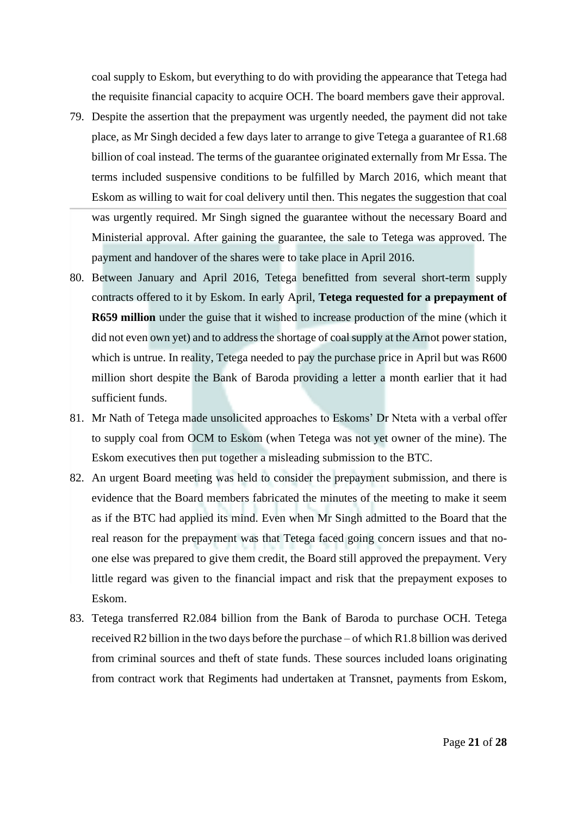coal supply to Eskom, but everything to do with providing the appearance that Tetega had the requisite financial capacity to acquire OCH. The board members gave their approval.

- 79. Despite the assertion that the prepayment was urgently needed, the payment did not take place, as Mr Singh decided a few days later to arrange to give Tetega a guarantee of R1.68 billion of coal instead. The terms of the guarantee originated externally from Mr Essa. The terms included suspensive conditions to be fulfilled by March 2016, which meant that Eskom as willing to wait for coal delivery until then. This negates the suggestion that coal was urgently required. Mr Singh signed the guarantee without the necessary Board and Ministerial approval. After gaining the guarantee, the sale to Tetega was approved. The payment and handover of the shares were to take place in April 2016.
- 80. Between January and April 2016, Tetega benefitted from several short-term supply contracts offered to it by Eskom. In early April, **Tetega requested for a prepayment of R659 million** under the guise that it wished to increase production of the mine (which it did not even own yet) and to address the shortage of coal supply at the Arnot power station, which is untrue. In reality, Tetega needed to pay the purchase price in April but was R600 million short despite the Bank of Baroda providing a letter a month earlier that it had sufficient funds.
- 81. Mr Nath of Tetega made unsolicited approaches to Eskoms' Dr Nteta with a verbal offer to supply coal from OCM to Eskom (when Tetega was not yet owner of the mine). The Eskom executives then put together a misleading submission to the BTC.
- 82. An urgent Board meeting was held to consider the prepayment submission, and there is evidence that the Board members fabricated the minutes of the meeting to make it seem as if the BTC had applied its mind. Even when Mr Singh admitted to the Board that the real reason for the prepayment was that Tetega faced going concern issues and that noone else was prepared to give them credit, the Board still approved the prepayment. Very little regard was given to the financial impact and risk that the prepayment exposes to Eskom.
- 83. Tetega transferred R2.084 billion from the Bank of Baroda to purchase OCH. Tetega received R2 billion in the two days before the purchase – of which R1.8 billion was derived from criminal sources and theft of state funds. These sources included loans originating from contract work that Regiments had undertaken at Transnet, payments from Eskom,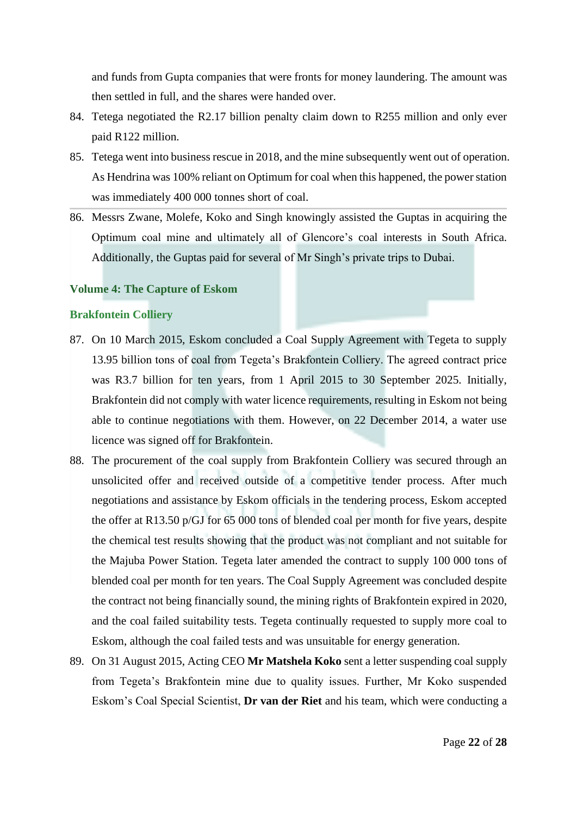and funds from Gupta companies that were fronts for money laundering. The amount was then settled in full, and the shares were handed over.

- 84. Tetega negotiated the R2.17 billion penalty claim down to R255 million and only ever paid R122 million.
- 85. Tetega went into business rescue in 2018, and the mine subsequently went out of operation. As Hendrina was 100% reliant on Optimum for coal when this happened, the power station was immediately 400 000 tonnes short of coal.
- 86. Messrs Zwane, Molefe, Koko and Singh knowingly assisted the Guptas in acquiring the Optimum coal mine and ultimately all of Glencore's coal interests in South Africa. Additionally, the Guptas paid for several of Mr Singh's private trips to Dubai.

### **Volume 4: The Capture of Eskom**

### **Brakfontein Colliery**

- 87. On 10 March 2015, Eskom concluded a Coal Supply Agreement with Tegeta to supply 13.95 billion tons of coal from Tegeta's Brakfontein Colliery. The agreed contract price was R3.7 billion for ten years, from 1 April 2015 to 30 September 2025. Initially, Brakfontein did not comply with water licence requirements, resulting in Eskom not being able to continue negotiations with them. However, on 22 December 2014, a water use licence was signed off for Brakfontein.
- 88. The procurement of the coal supply from Brakfontein Colliery was secured through an unsolicited offer and received outside of a competitive tender process. After much negotiations and assistance by Eskom officials in the tendering process, Eskom accepted the offer at R13.50 p/GJ for 65 000 tons of blended coal per month for five years, despite the chemical test results showing that the product was not compliant and not suitable for the Majuba Power Station. Tegeta later amended the contract to supply 100 000 tons of blended coal per month for ten years. The Coal Supply Agreement was concluded despite the contract not being financially sound, the mining rights of Brakfontein expired in 2020, and the coal failed suitability tests. Tegeta continually requested to supply more coal to Eskom, although the coal failed tests and was unsuitable for energy generation.
- 89. On 31 August 2015, Acting CEO **Mr Matshela Koko** sent a letter suspending coal supply from Tegeta's Brakfontein mine due to quality issues. Further, Mr Koko suspended Eskom's Coal Special Scientist, **Dr van der Riet** and his team, which were conducting a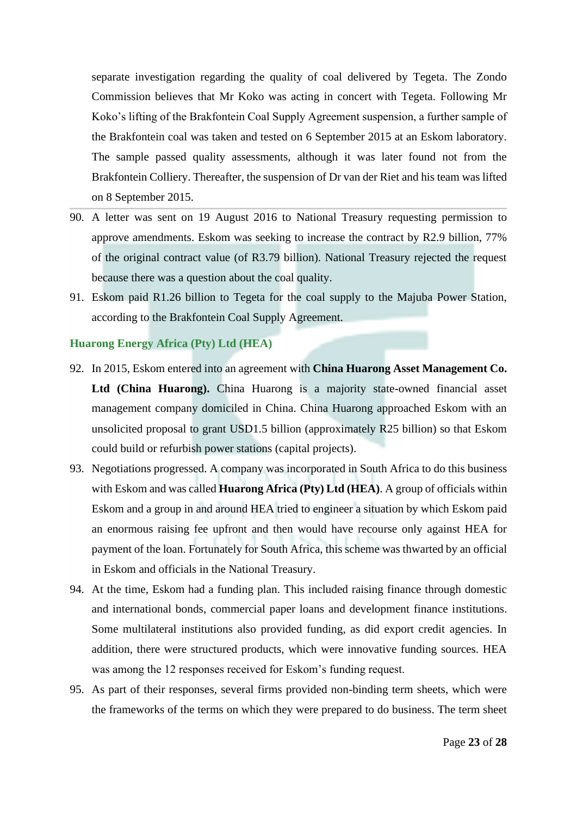separate investigation regarding the quality of coal delivered by Tegeta. The Zondo Commission believes that Mr Koko was acting in concert with Tegeta. Following Mr Koko's lifting of the Brakfontein Coal Supply Agreement suspension, a further sample of the Brakfontein coal was taken and tested on 6 September 2015 at an Eskom laboratory. The sample passed quality assessments, although it was later found not from the Brakfontein Colliery. Thereafter, the suspension of Dr van der Riet and his team was lifted on 8 September 2015.

- 90. A letter was sent on 19 August 2016 to National Treasury requesting permission to approve amendments. Eskom was seeking to increase the contract by R2.9 billion, 77% of the original contract value (of R3.79 billion). National Treasury rejected the request because there was a question about the coal quality.
- 91. Eskom paid R1.26 billion to Tegeta for the coal supply to the Majuba Power Station, according to the Brakfontein Coal Supply Agreement.

### **Huarong Energy Africa (Pty) Ltd (HEA)**

- 92. In 2015, Eskom entered into an agreement with **China Huarong Asset Management Co. Ltd (China Huarong).** China Huarong is a majority state-owned financial asset management company domiciled in China. China Huarong approached Eskom with an unsolicited proposal to grant USD1.5 billion (approximately R25 billion) so that Eskom could build or refurbish power stations (capital projects).
- 93. Negotiations progressed. A company was incorporated in South Africa to do this business with Eskom and was called **Huarong Africa (Pty) Ltd (HEA)**. A group of officials within Eskom and a group in and around HEA tried to engineer a situation by which Eskom paid an enormous raising fee upfront and then would have recourse only against HEA for payment of the loan. Fortunately for South Africa, this scheme was thwarted by an official in Eskom and officials in the National Treasury.
- 94. At the time, Eskom had a funding plan. This included raising finance through domestic and international bonds, commercial paper loans and development finance institutions. Some multilateral institutions also provided funding, as did export credit agencies. In addition, there were structured products, which were innovative funding sources. HEA was among the 12 responses received for Eskom's funding request.
- 95. As part of their responses, several firms provided non-binding term sheets, which were the frameworks of the terms on which they were prepared to do business. The term sheet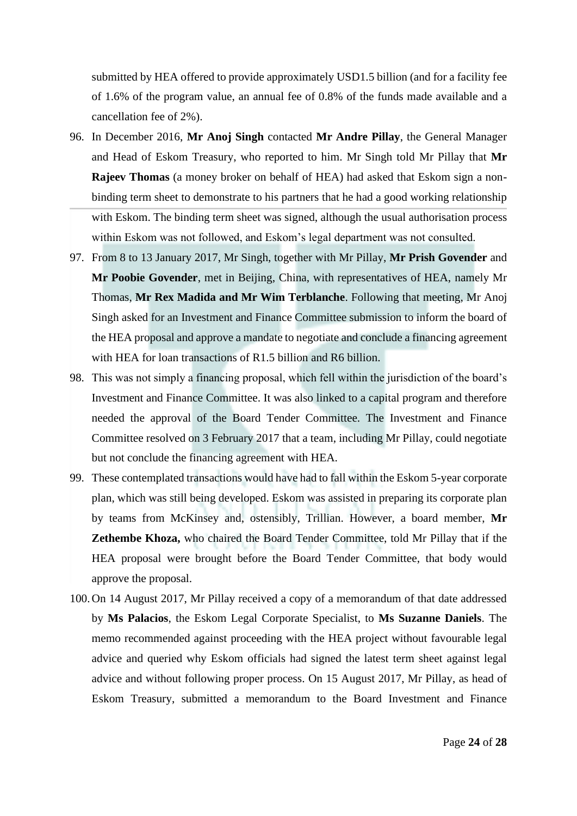submitted by HEA offered to provide approximately USD1.5 billion (and for a facility fee of 1.6% of the program value, an annual fee of 0.8% of the funds made available and a cancellation fee of 2%).

- 96. In December 2016, **Mr Anoj Singh** contacted **Mr Andre Pillay**, the General Manager and Head of Eskom Treasury, who reported to him. Mr Singh told Mr Pillay that **Mr Rajeev Thomas** (a money broker on behalf of HEA) had asked that Eskom sign a nonbinding term sheet to demonstrate to his partners that he had a good working relationship with Eskom. The binding term sheet was signed, although the usual authorisation process within Eskom was not followed, and Eskom's legal department was not consulted.
- 97. From 8 to 13 January 2017, Mr Singh, together with Mr Pillay, **Mr Prish Govender** and **Mr Poobie Govender**, met in Beijing, China, with representatives of HEA, namely Mr Thomas, **Mr Rex Madida and Mr Wim Terblanche**. Following that meeting, Mr Anoj Singh asked for an Investment and Finance Committee submission to inform the board of the HEA proposal and approve a mandate to negotiate and conclude a financing agreement with HEA for loan transactions of R1.5 billion and R6 billion.
- 98. This was not simply a financing proposal, which fell within the jurisdiction of the board's Investment and Finance Committee. It was also linked to a capital program and therefore needed the approval of the Board Tender Committee. The Investment and Finance Committee resolved on 3 February 2017 that a team, including Mr Pillay, could negotiate but not conclude the financing agreement with HEA.
- 99. These contemplated transactions would have had to fall within the Eskom 5-year corporate plan, which was still being developed. Eskom was assisted in preparing its corporate plan by teams from McKinsey and, ostensibly, Trillian. However, a board member, **Mr Zethembe Khoza,** who chaired the Board Tender Committee, told Mr Pillay that if the HEA proposal were brought before the Board Tender Committee, that body would approve the proposal.
- 100.On 14 August 2017, Mr Pillay received a copy of a memorandum of that date addressed by **Ms Palacios**, the Eskom Legal Corporate Specialist, to **Ms Suzanne Daniels**. The memo recommended against proceeding with the HEA project without favourable legal advice and queried why Eskom officials had signed the latest term sheet against legal advice and without following proper process. On 15 August 2017, Mr Pillay, as head of Eskom Treasury, submitted a memorandum to the Board Investment and Finance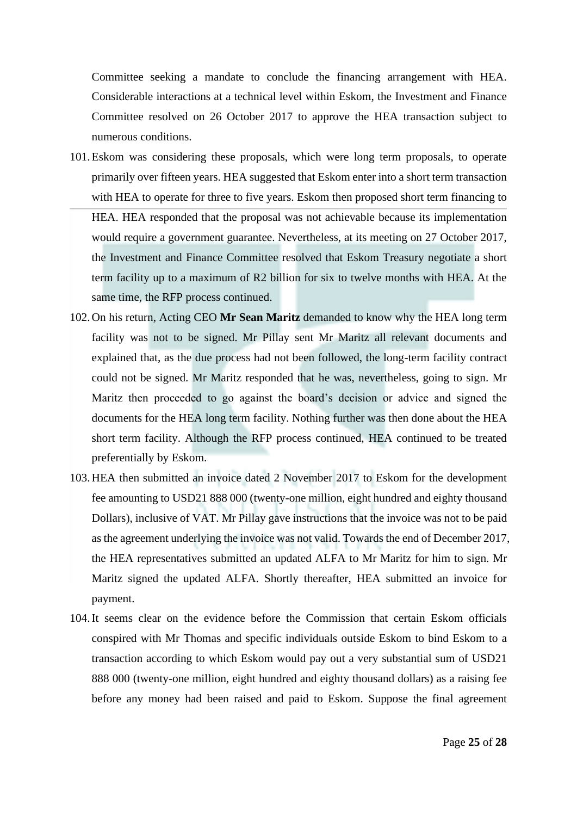Committee seeking a mandate to conclude the financing arrangement with HEA. Considerable interactions at a technical level within Eskom, the Investment and Finance Committee resolved on 26 October 2017 to approve the HEA transaction subject to numerous conditions.

- 101.Eskom was considering these proposals, which were long term proposals, to operate primarily over fifteen years. HEA suggested that Eskom enter into a short term transaction with HEA to operate for three to five years. Eskom then proposed short term financing to HEA. HEA responded that the proposal was not achievable because its implementation would require a government guarantee. Nevertheless, at its meeting on 27 October 2017, the Investment and Finance Committee resolved that Eskom Treasury negotiate a short term facility up to a maximum of R2 billion for six to twelve months with HEA. At the same time, the RFP process continued.
- 102.On his return, Acting CEO **Mr Sean Maritz** demanded to know why the HEA long term facility was not to be signed. Mr Pillay sent Mr Maritz all relevant documents and explained that, as the due process had not been followed, the long-term facility contract could not be signed. Mr Maritz responded that he was, nevertheless, going to sign. Mr Maritz then proceeded to go against the board's decision or advice and signed the documents for the HEA long term facility. Nothing further was then done about the HEA short term facility. Although the RFP process continued, HEA continued to be treated preferentially by Eskom.
- 103.HEA then submitted an invoice dated 2 November 2017 to Eskom for the development fee amounting to USD21 888 000 (twenty-one million, eight hundred and eighty thousand Dollars), inclusive of VAT. Mr Pillay gave instructions that the invoice was not to be paid as the agreement underlying the invoice was not valid. Towards the end of December 2017, the HEA representatives submitted an updated ALFA to Mr Maritz for him to sign. Mr Maritz signed the updated ALFA. Shortly thereafter, HEA submitted an invoice for payment.
- 104.It seems clear on the evidence before the Commission that certain Eskom officials conspired with Mr Thomas and specific individuals outside Eskom to bind Eskom to a transaction according to which Eskom would pay out a very substantial sum of USD21 888 000 (twenty-one million, eight hundred and eighty thousand dollars) as a raising fee before any money had been raised and paid to Eskom. Suppose the final agreement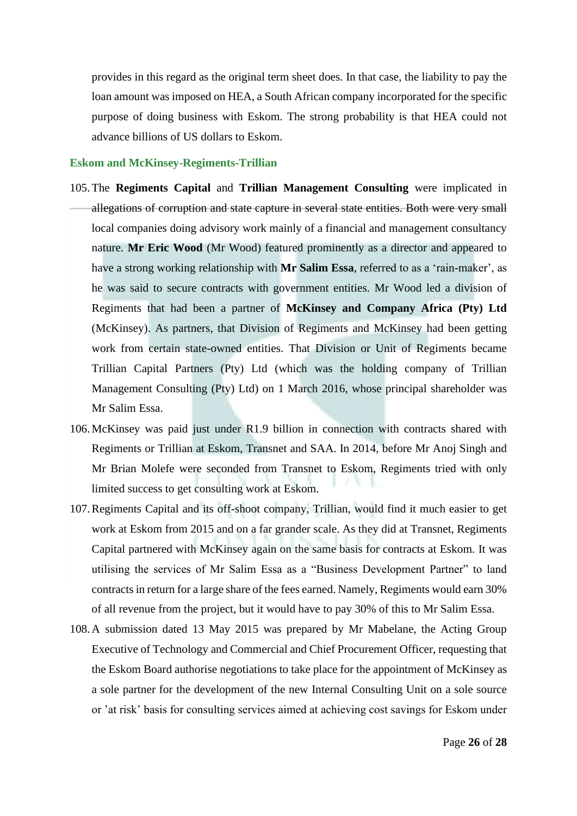provides in this regard as the original term sheet does. In that case, the liability to pay the loan amount was imposed on HEA, a South African company incorporated for the specific purpose of doing business with Eskom. The strong probability is that HEA could not advance billions of US dollars to Eskom.

#### **Eskom and McKinsey-Regiments-Trillian**

- 105.The **Regiments Capital** and **Trillian Management Consulting** were implicated in allegations of corruption and state capture in several state entities. Both were very small local companies doing advisory work mainly of a financial and management consultancy nature. **Mr Eric Wood** (Mr Wood) featured prominently as a director and appeared to have a strong working relationship with **Mr Salim Essa**, referred to as a 'rain-maker', as he was said to secure contracts with government entities. Mr Wood led a division of Regiments that had been a partner of **McKinsey and Company Africa (Pty) Ltd** (McKinsey). As partners, that Division of Regiments and McKinsey had been getting work from certain state-owned entities. That Division or Unit of Regiments became Trillian Capital Partners (Pty) Ltd (which was the holding company of Trillian Management Consulting (Pty) Ltd) on 1 March 2016, whose principal shareholder was Mr Salim Essa.
- 106.McKinsey was paid just under R1.9 billion in connection with contracts shared with Regiments or Trillian at Eskom, Transnet and SAA. In 2014, before Mr Anoj Singh and Mr Brian Molefe were seconded from Transnet to Eskom, Regiments tried with only limited success to get consulting work at Eskom.
- 107.Regiments Capital and its off-shoot company, Trillian, would find it much easier to get work at Eskom from 2015 and on a far grander scale. As they did at Transnet, Regiments Capital partnered with McKinsey again on the same basis for contracts at Eskom. It was utilising the services of Mr Salim Essa as a "Business Development Partner" to land contracts in return for a large share of the fees earned. Namely, Regiments would earn 30% of all revenue from the project, but it would have to pay 30% of this to Mr Salim Essa.
- 108.A submission dated 13 May 2015 was prepared by Mr Mabelane, the Acting Group Executive of Technology and Commercial and Chief Procurement Officer, requesting that the Eskom Board authorise negotiations to take place for the appointment of McKinsey as a sole partner for the development of the new Internal Consulting Unit on a sole source or 'at risk' basis for consulting services aimed at achieving cost savings for Eskom under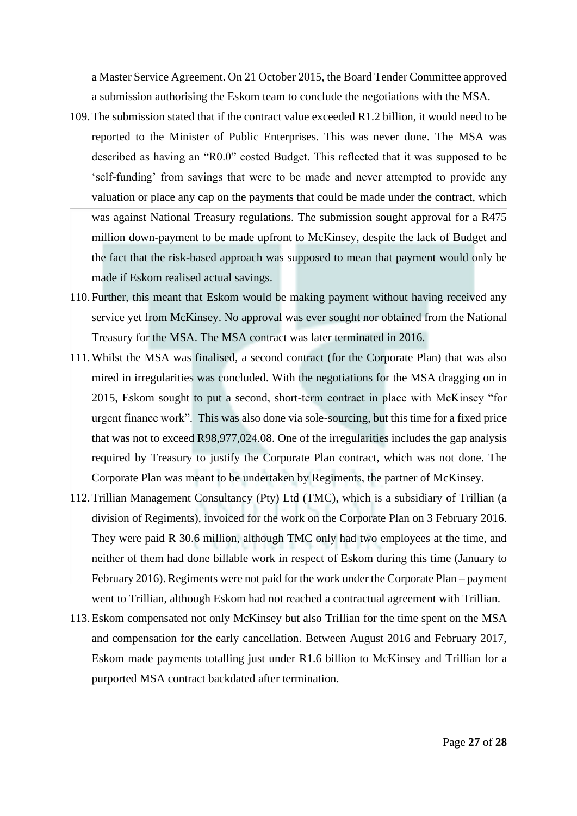a Master Service Agreement. On 21 October 2015, the Board Tender Committee approved a submission authorising the Eskom team to conclude the negotiations with the MSA.

- 109.The submission stated that if the contract value exceeded R1.2 billion, it would need to be reported to the Minister of Public Enterprises. This was never done. The MSA was described as having an "R0.0" costed Budget. This reflected that it was supposed to be 'self-funding' from savings that were to be made and never attempted to provide any valuation or place any cap on the payments that could be made under the contract, which was against National Treasury regulations. The submission sought approval for a R475 million down-payment to be made upfront to McKinsey, despite the lack of Budget and the fact that the risk-based approach was supposed to mean that payment would only be made if Eskom realised actual savings.
- 110. Further, this meant that Eskom would be making payment without having received any service yet from McKinsey. No approval was ever sought nor obtained from the National Treasury for the MSA. The MSA contract was later terminated in 2016.
- 111.Whilst the MSA was finalised, a second contract (for the Corporate Plan) that was also mired in irregularities was concluded. With the negotiations for the MSA dragging on in 2015, Eskom sought to put a second, short-term contract in place with McKinsey "for urgent finance work". This was also done via sole-sourcing, but this time for a fixed price that was not to exceed R98,977,024.08. One of the irregularities includes the gap analysis required by Treasury to justify the Corporate Plan contract, which was not done. The Corporate Plan was meant to be undertaken by Regiments, the partner of McKinsey.
- 112.Trillian Management Consultancy (Pty) Ltd (TMC), which is a subsidiary of Trillian (a division of Regiments), invoiced for the work on the Corporate Plan on 3 February 2016. They were paid R 30.6 million, although TMC only had two employees at the time, and neither of them had done billable work in respect of Eskom during this time (January to February 2016). Regiments were not paid for the work under the Corporate Plan – payment went to Trillian, although Eskom had not reached a contractual agreement with Trillian.
- 113.Eskom compensated not only McKinsey but also Trillian for the time spent on the MSA and compensation for the early cancellation. Between August 2016 and February 2017, Eskom made payments totalling just under R1.6 billion to McKinsey and Trillian for a purported MSA contract backdated after termination.